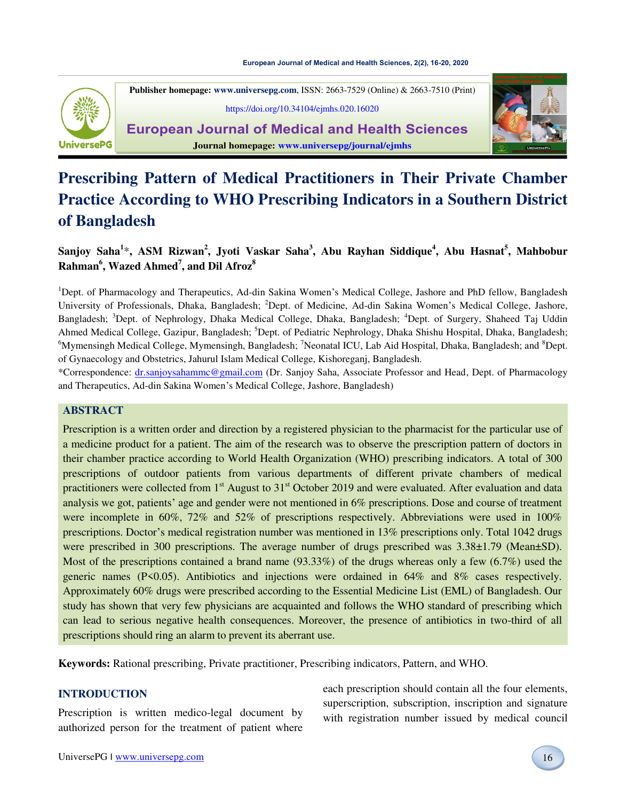#### **[European Journal of Medical and Health Sciences, 2\(2\), 16-20, 2020](https://doi.org/10.34104/ejmhs.020.16020)**



**Publisher homepage[: www.universepg.com](http://www.universepg.com/)**, ISSN: 2663-7529 (Online) & 2663-7510 (Print)

<https://doi.org/10.34104/ejmhs.020.16020>

**European Journal of Medical and Health Sciences Journal homepage: [www.universepg/journal/ejmhs](http://www.universepg/journal/ejmhs)**



# **Prescribing Pattern of Medical Practitioners in Their Private Chamber Practice According to WHO Prescribing Indicators in a Southern District of Bangladesh**

# **Sanjoy Saha<sup>1</sup>** \***, ASM Rizwan<sup>2</sup> , Jyoti Vaskar Saha<sup>3</sup> , Abu Rayhan Siddique<sup>4</sup> , Abu Hasnat<sup>5</sup> , Mahbobur Rahman<sup>6</sup> , Wazed Ahmed<sup>7</sup> , and Dil Afroz<sup>8</sup>**

<sup>1</sup>Dept. of Pharmacology and Therapeutics, Ad-din Sakina Women's Medical College, Jashore and PhD fellow, Bangladesh University of Professionals, Dhaka, Bangladesh; <sup>2</sup>Dept. of Medicine, Ad-din Sakina Women's Medical College, Jashore, Bangladesh; <sup>3</sup>Dept. of Nephrology, Dhaka Medical College, Dhaka, Bangladesh; <sup>4</sup>Dept. of Surgery, Shaheed Taj Uddin Ahmed Medical College, Gazipur, Bangladesh; <sup>5</sup>Dept. of Pediatric Nephrology, Dhaka Shishu Hospital, Dhaka, Bangladesh;  $6My$ mensingh Medical College, Mymensingh, Bangladesh; <sup>7</sup>Neonatal ICU, Lab Aid Hospital, Dhaka, Bangladesh; and  $8D$ ept. of Gynaecology and Obstetrics, Jahurul Islam Medical College, Kishoreganj, Bangladesh.

\*Correspondence: [dr.sanjoysahammc@gmail.com](mailto:dr.sanjoysahammc@gmail.com) (Dr. Sanjoy Saha, Associate Professor and Head, Dept. of Pharmacology and Therapeutics, Ad-din Sakina Women's Medical College, Jashore, Bangladesh)

#### **ABSTRACT**

Prescription is a written order and direction by a registered physician to the pharmacist for the particular use of a medicine product for a patient. The aim of the research was to observe the prescription pattern of doctors in their chamber practice according to World Health Organization (WHO) prescribing indicators. A total of 300 prescriptions of outdoor patients from various departments of different private chambers of medical practitioners were collected from 1<sup>st</sup> August to 31<sup>st</sup> October 2019 and were evaluated. After evaluation and data analysis we got, patients' age and gender were not mentioned in 6% prescriptions. Dose and course of treatment were incomplete in 60%, 72% and 52% of prescriptions respectively. Abbreviations were used in 100% prescriptions. Doctor's medical registration number was mentioned in 13% prescriptions only. Total 1042 drugs were prescribed in 300 prescriptions. The average number of drugs prescribed was  $3.38\pm1.79$  (Mean $\pm$ SD). Most of the prescriptions contained a brand name (93.33%) of the drugs whereas only a few (6.7%) used the generic names (P<0.05). Antibiotics and injections were ordained in 64% and 8% cases respectively. Approximately 60% drugs were prescribed according to the Essential Medicine List (EML) of Bangladesh. Our study has shown that very few physicians are acquainted and follows the WHO standard of prescribing which can lead to serious negative health consequences. Moreover, the presence of antibiotics in two-third of all prescriptions should ring an alarm to prevent its aberrant use.

**Keywords:** Rational prescribing, Private practitioner, Prescribing indicators, Pattern, and WHO.

### **INTRODUCTION**

Prescription is written medico-legal document by authorized person for the treatment of patient where

each prescription should contain all the four elements, superscription, subscription, inscription and signature with registration number issued by medical council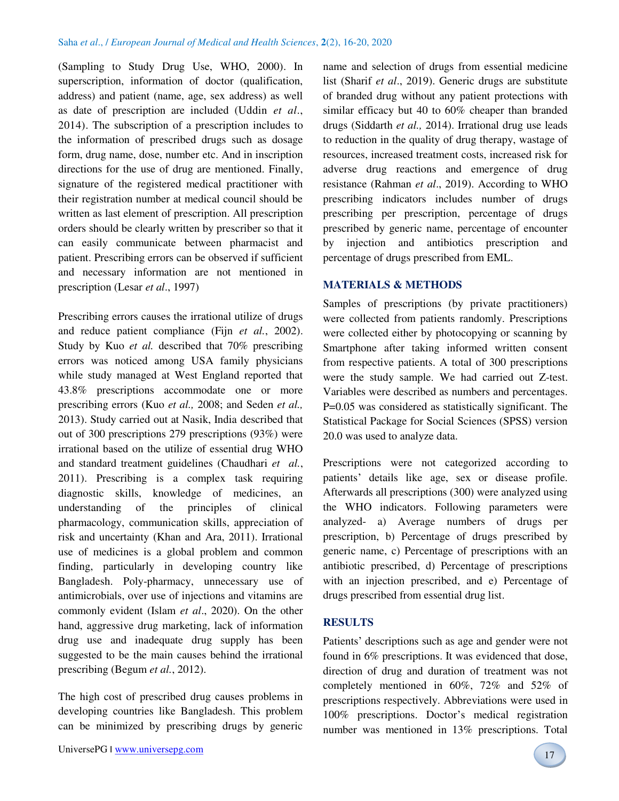(Sampling to Study Drug Use, WHO, 2000). In superscription, information of doctor (qualification, address) and patient (name, age, sex address) as well as date of prescription are included (Uddin *et al*., 2014). The subscription of a prescription includes to the information of prescribed drugs such as dosage form, drug name, dose, number etc. And in inscription directions for the use of drug are mentioned. Finally, signature of the registered medical practitioner with their registration number at medical council should be written as last element of prescription. All prescription orders should be clearly written by prescriber so that it can easily communicate between pharmacist and patient. Prescribing errors can be observed if sufficient and necessary information are not mentioned in prescription (Lesar *et al*., 1997)

Prescribing errors causes the irrational utilize of drugs and reduce patient compliance (Fijn *et al.*, 2002). Study by Kuo *et al.* described that 70% prescribing errors was noticed among USA family physicians while study managed at West England reported that 43.8% prescriptions accommodate one or more prescribing errors (Kuo *et al.,* 2008; and Seden *et al.,* 2013). Study carried out at Nasik, India described that out of 300 prescriptions 279 prescriptions (93%) were irrational based on the utilize of essential drug WHO and standard treatment guidelines (Chaudhari *et al.*, 2011). Prescribing is a complex task requiring diagnostic skills, knowledge of medicines, an understanding of the principles of clinical pharmacology, communication skills, appreciation of risk and uncertainty (Khan and Ara, 2011). Irrational use of medicines is a global problem and common finding, particularly in developing country like Bangladesh. Poly-pharmacy, unnecessary use of antimicrobials, over use of injections and vitamins are commonly evident (Islam *et al*., 2020). On the other hand, aggressive drug marketing, lack of information drug use and inadequate drug supply has been suggested to be the main causes behind the irrational prescribing (Begum *et al.*, 2012).

The high cost of prescribed drug causes problems in developing countries like Bangladesh. This problem can be minimized by prescribing drugs by generic name and selection of drugs from essential medicine list (Sharif *et al*., 2019). Generic drugs are substitute of branded drug without any patient protections with similar efficacy but 40 to 60% cheaper than branded drugs (Siddarth *et al.,* 2014). Irrational drug use leads to reduction in the quality of drug therapy, wastage of resources, increased treatment costs, increased risk for adverse drug reactions and emergence of drug resistance (Rahman *et al*., 2019). According to WHO prescribing indicators includes number of drugs prescribing per prescription, percentage of drugs prescribed by generic name, percentage of encounter by injection and antibiotics prescription and percentage of drugs prescribed from EML.

#### **MATERIALS & METHODS**

Samples of prescriptions (by private practitioners) were collected from patients randomly. Prescriptions were collected either by photocopying or scanning by Smartphone after taking informed written consent from respective patients. A total of 300 prescriptions were the study sample. We had carried out Z-test. Variables were described as numbers and percentages. P=0.05 was considered as statistically significant. The Statistical Package for Social Sciences (SPSS) version 20.0 was used to analyze data.

Prescriptions were not categorized according to patients' details like age, sex or disease profile. Afterwards all prescriptions (300) were analyzed using the WHO indicators. Following parameters were analyzed- a) Average numbers of drugs per prescription, b) Percentage of drugs prescribed by generic name, c) Percentage of prescriptions with an antibiotic prescribed, d) Percentage of prescriptions with an injection prescribed, and e) Percentage of drugs prescribed from essential drug list.

#### **RESULTS**

Patients' descriptions such as age and gender were not found in 6% prescriptions. It was evidenced that dose, direction of drug and duration of treatment was not completely mentioned in 60%, 72% and 52% of prescriptions respectively. Abbreviations were used in 100% prescriptions. Doctor's medical registration number was mentioned in 13% prescriptions. Total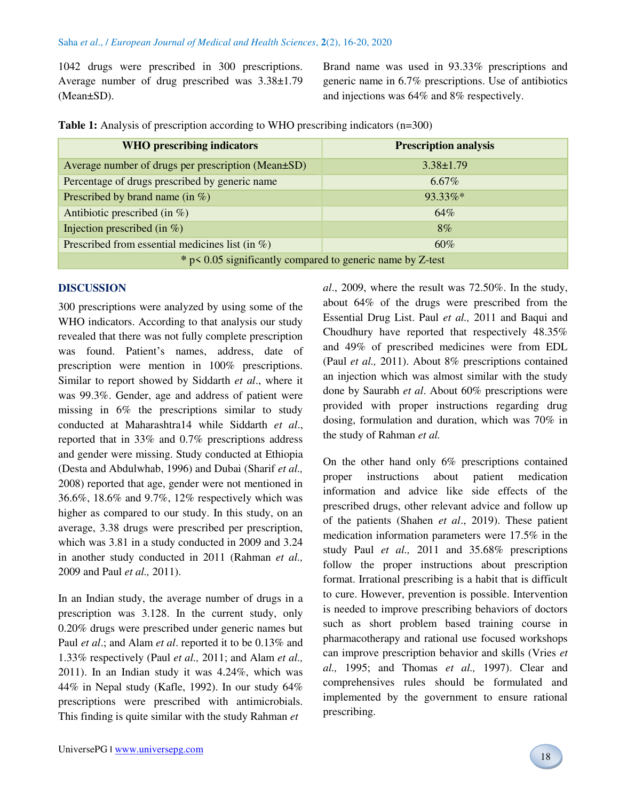1042 drugs were prescribed in 300 prescriptions. Average number of drug prescribed was 3.38±1.79 (Mean±SD).

Brand name was used in 93.33% prescriptions and generic name in 6.7% prescriptions. Use of antibiotics and injections was 64% and 8% respectively.

| <b>WHO</b> prescribing indicators                             | <b>Prescription analysis</b> |
|---------------------------------------------------------------|------------------------------|
| Average number of drugs per prescription (Mean±SD)            | $3.38 \pm 1.79$              |
| Percentage of drugs prescribed by generic name                | $6.67\%$                     |
| Prescribed by brand name (in $\%$ )                           | 93.33%*                      |
| Antibiotic prescribed (in $\%$ )                              | 64%                          |
| Injection prescribed (in $\%$ )                               | $8\%$                        |
| Prescribed from essential medicines list (in $\%$ )           | 60%                          |
| $*$ p < 0.05 significantly compared to generic name by Z-test |                              |

**Table 1:** Analysis of prescription according to WHO prescribing indicators (n=300)

#### **DISCUSSION**

300 prescriptions were analyzed by using some of the WHO indicators. According to that analysis our study revealed that there was not fully complete prescription was found. Patient's names, address, date of prescription were mention in 100% prescriptions. Similar to report showed by Siddarth *et al*., where it was 99.3%. Gender, age and address of patient were missing in 6% the prescriptions similar to study conducted at Maharashtra14 while Siddarth *et al*., reported that in 33% and 0.7% prescriptions address and gender were missing. Study conducted at Ethiopia (Desta and Abdulwhab, 1996) and Dubai (Sharif *et al.,* 2008) reported that age, gender were not mentioned in 36.6%, 18.6% and 9.7%, 12% respectively which was higher as compared to our study. In this study, on an average, 3.38 drugs were prescribed per prescription, which was 3.81 in a study conducted in 2009 and 3.24 in another study conducted in 2011 (Rahman *et al.,*  2009 and Paul *et al.,* 2011).

In an Indian study, the average number of drugs in a prescription was 3.128. In the current study, only 0.20% drugs were prescribed under generic names but Paul *et al*.; and Alam *et al*. reported it to be 0.13% and 1.33% respectively (Paul *et al.,* 2011; and Alam *et al.,* 2011). In an Indian study it was 4.24%, which was 44% in Nepal study (Kafle, 1992). In our study 64% prescriptions were prescribed with antimicrobials. This finding is quite similar with the study Rahman *et* 

*al*., 2009, where the result was 72.50%. In the study, about 64% of the drugs were prescribed from the Essential Drug List. Paul *et al.,* 2011 and Baqui and Choudhury have reported that respectively 48.35% and 49% of prescribed medicines were from EDL (Paul *et al.,* 2011). About 8% prescriptions contained an injection which was almost similar with the study done by Saurabh *et al*. About 60% prescriptions were provided with proper instructions regarding drug dosing, formulation and duration, which was 70% in the study of Rahman *et al.*

On the other hand only 6% prescriptions contained proper instructions about patient medication information and advice like side effects of the prescribed drugs, other relevant advice and follow up of the patients (Shahen *et al*., 2019). These patient medication information parameters were 17.5% in the study Paul *et al.,* 2011 and 35.68% prescriptions follow the proper instructions about prescription format. Irrational prescribing is a habit that is difficult to cure. However, prevention is possible. Intervention is needed to improve prescribing behaviors of doctors such as short problem based training course in pharmacotherapy and rational use focused workshops can improve prescription behavior and skills (Vries *et al.,* 1995; and Thomas *et al.,* 1997). Clear and comprehensives rules should be formulated and implemented by the government to ensure rational prescribing.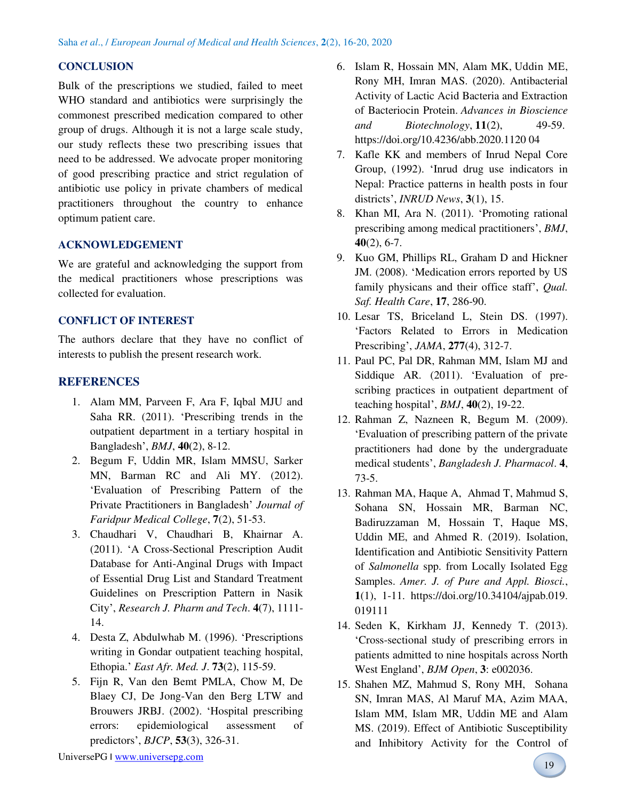# **CONCLUSION**

Bulk of the prescriptions we studied, failed to meet WHO standard and antibiotics were surprisingly the commonest prescribed medication compared to other group of drugs. Although it is not a large scale study, our study reflects these two prescribing issues that need to be addressed. We advocate proper monitoring of good prescribing practice and strict regulation of antibiotic use policy in private chambers of medical practitioners throughout the country to enhance optimum patient care.

# **ACKNOWLEDGEMENT**

We are grateful and acknowledging the support from the medical practitioners whose prescriptions was collected for evaluation.

## **CONFLICT OF INTEREST**

The authors declare that they have no conflict of interests to publish the present research work.

# **REFERENCES**

- 1. Alam MM, Parveen F, Ara F, Iqbal MJU and Saha RR. (2011). 'Prescribing trends in the outpatient department in a tertiary hospital in Bangladesh', *BMJ*, **40**(2), 8-12.
- 2. Begum F, Uddin MR, Islam MMSU, Sarker MN, Barman RC and Ali MY. (2012). 'Evaluation of Prescribing Pattern of the Private Practitioners in Bangladesh' *Journal of Faridpur Medical College*, **7**(2), 51-53.
- 3. Chaudhari V, Chaudhari B, Khairnar A. (2011). 'A Cross-Sectional Prescription Audit Database for Anti-Anginal Drugs with Impact of Essential Drug List and Standard Treatment Guidelines on Prescription Pattern in Nasik City', *Research J. Pharm and Tech*. **4**(7), 1111- 14.
- 4. Desta Z, Abdulwhab M. (1996). 'Prescriptions writing in Gondar outpatient teaching hospital, Ethopia.' *East Afr. Med. J*. **73**(2), 115-59.
- 5. Fijn R, Van den Bemt PMLA, Chow M, De Blaey CJ, De Jong-Van den Berg LTW and Brouwers JRBJ. (2002). 'Hospital prescribing errors: epidemiological assessment of predictors', *BJCP*, **53**(3), 326-31.
- 6. Islam R, Hossain MN, Alam MK, Uddin ME, Rony MH, Imran MAS. (2020). Antibacterial Activity of Lactic Acid Bacteria and Extraction of Bacteriocin Protein. *Advances in Bioscience and Biotechnology*, **11**(2), 49-59. [https://doi.org/10.4236/abb.2020.1120 04](https://doi.org/10.4236/abb.2020.1120%2004�)
- 7. Kafle KK and members of Inrud Nepal Core Group, (1992). 'Inrud drug use indicators in Nepal: Practice patterns in health posts in four districts', *INRUD News*, **3**(1), 15.
- 8. Khan MI, Ara N. (2011). 'Promoting rational prescribing among medical practitioners', *BMJ*, **40**(2), 6-7.
- 9. Kuo GM, Phillips RL, Graham D and Hickner JM. (2008). 'Medication errors reported by US family physicans and their office staff', *Qual. Saf. Health Care*, **17**, 286-90.
- 10. Lesar TS, [Briceland L,](https://www.ncbi.nlm.nih.gov/pubmed/?term=Briceland%20L%5BAuthor%5D&cauthor=true&cauthor_uid=9002494) [Stein DS.](https://www.ncbi.nlm.nih.gov/pubmed/?term=Stein%20DS%5BAuthor%5D&cauthor=true&cauthor_uid=9002494) (1997). 'Factors Related to Errors in Medication Prescribing', *JAMA*, **277**(4), 312-7.
- 11. Paul PC, Pal DR, Rahman MM, Islam MJ and Siddique AR. (2011). 'Evaluation of prescribing practices in outpatient department of teaching hospital', *BMJ*, **40**(2), 19-22.
- 12. Rahman Z, Nazneen R, Begum M. (2009). 'Evaluation of prescribing pattern of the private practitioners had done by the undergraduate medical students', *Bangladesh J. Pharmacol*. **4**, 73-5.
- 13. Rahman MA, Haque A, Ahmad T, Mahmud S, Sohana SN, Hossain MR, Barman NC, Badiruzzaman M, Hossain T, Haque MS, Uddin ME, and Ahmed R. (2019). Isolation, Identification and Antibiotic Sensitivity Pattern of *Salmonella* spp. from Locally Isolated Egg Samples. *Amer. J. of Pure and Appl. Biosci.*, **1**(1), 1-11. [https://doi.org/10.34104/ajpab.019.](https://doi.org/10.34104/ajpab.019.%20019111)  [019111](https://doi.org/10.34104/ajpab.019.%20019111)
- 14. Seden K, Kirkham JJ, Kennedy T. (2013). 'Cross-sectional study of prescribing errors in patients admitted to nine hospitals across North West England', *BJM Open*, **3**: e002036.
- 15. Shahen MZ, Mahmud S, Rony MH, Sohana SN, Imran MAS, Al Maruf MA, Azim MAA, Islam MM, Islam MR, Uddin ME and Alam MS. (2019). Effect of Antibiotic Susceptibility and Inhibitory Activity for the Control of